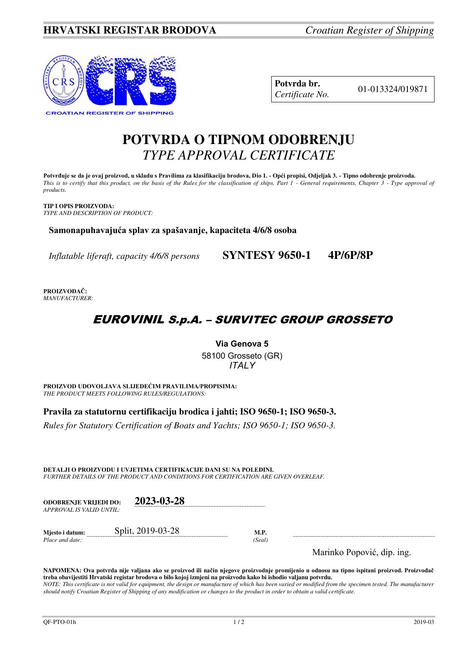## **HRVATSKI REGISTAR BRODOVA** *Croatian Register of Shipping*



| Potvrda br.     |
|-----------------|
| Certificate No. |

01-013324/019871

# **POTVRDA O TIPNOM ODOBRENJU**  *TYPE APPROVAL CERTIFICATE*

**Potvrđuje se da je ovaj proizvod, u skladu s Pravilima za klasifikaciju brodova, Dio 1. - Opći propisi, Odjeljak 3. - Tipno odobrenje proizvoda.**  *This is to certify that this product, on the basis of the Rules for the classification of ships, Part 1 - General requirements, Chapter 3 - Type approval of products.* 

**TIP I OPIS PROIZVODA:** *TYPE AND DESCRIPTION OF PRODUCT:* 

**Samonapuhavajuća splav za spašavanje, kapaciteta 4/6/8 osoba** 

*Inflatable liferaft, capacity 4/6/8 persons* **SYNTESY 9650-1 4P/6P/8P**

**PROIZVOĐAČ:** *MANUFACTURER:*

## EUROVINIL S.p.A. – SURVITEC GROUP GROSSETO

**Via Genova 5**  58100 Grosseto (GR) *ITALY* 

**PROIZVOD UDOVOLJAVA SLIJEDEĆIM PRAVILIMA/PROPISIMA:** *THE PRODUCT MEETS FOLLOWING RULES/REGULATIONS:* 

**Pravila za statutornu certifikaciju brodica i jahti; ISO 9650-1; ISO 9650-3.** 

*Rules for Statutory Certification of Boats and Yachts; ISO 9650-1; ISO 9650-3.* 

**DETALJI O PROIZVODU I UVJETIMA CERTIFIKACIJE DANI SU NA POLEĐINI.** *FURTHER DETAILS OF THE PRODUCT AND CONDITIONS FOR CERTIFICATION ARE GIVEN OVERLEAF.* 

| <b>ODOBRENJE VRLJEDI DO:</b><br>APPROVAL IS VALID UNTIL: | 2023-03-28        |                |               |
|----------------------------------------------------------|-------------------|----------------|---------------|
| Mjesto i datum:<br>Place and date:                       | Split, 2019-03-28 | M.P.<br>(Seal) |               |
|                                                          |                   |                | .<br>$\cdots$ |

Marinko Popović, dip. ing.

**NAPOMENA: Ova potvrda nije valjana ako se proizvod ili način njegove proizvodnje promijenio u odnosu na tipno ispitani proizvod. Proizvođač treba obavijestiti Hrvatski registar brodova o bilo kojoj izmjeni na proizvodu kako bi ishodio valjanu potvrdu.**  *NOTE: This certificate is not valid for equipment, the design or manufacture of which has been varied or modified from the specimen tested. The manufacturer*